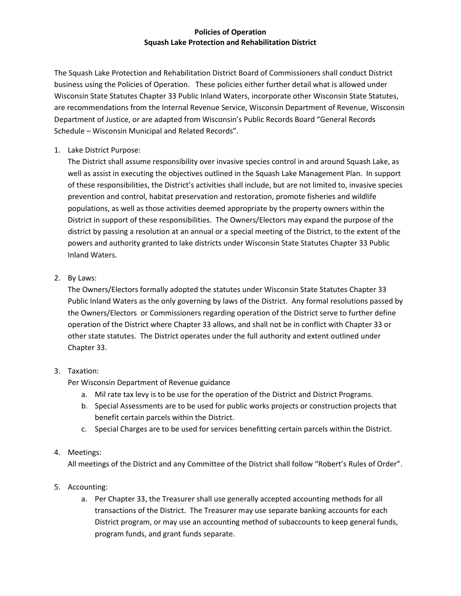## **Policies of Operation Squash Lake Protection and Rehabilitation District**

The Squash Lake Protection and Rehabilitation District Board of Commissioners shall conduct District business using the Policies of Operation. These policies either further detail what is allowed under Wisconsin State Statutes Chapter 33 Public Inland Waters, incorporate other Wisconsin State Statutes, are recommendations from the Internal Revenue Service, Wisconsin Department of Revenue, Wisconsin Department of Justice, or are adapted from Wisconsin's Public Records Board "General Records Schedule – Wisconsin Municipal and Related Records".

## 1. Lake District Purpose:

The District shall assume responsibility over invasive species control in and around Squash Lake, as well as assist in executing the objectives outlined in the Squash Lake Management Plan. In support of these responsibilities, the District's activities shall include, but are not limited to, invasive species prevention and control, habitat preservation and restoration, promote fisheries and wildlife populations, as well as those activities deemed appropriate by the property owners within the District in support of these responsibilities. The Owners/Electors may expand the purpose of the district by passing a resolution at an annual or a special meeting of the District, to the extent of the powers and authority granted to lake districts under Wisconsin State Statutes Chapter 33 Public Inland Waters.

## 2. By Laws:

The Owners/Electors formally adopted the statutes under Wisconsin State Statutes Chapter 33 Public Inland Waters as the only governing by laws of the District. Any formal resolutions passed by the Owners/Electors or Commissioners regarding operation of the District serve to further define operation of the District where Chapter 33 allows, and shall not be in conflict with Chapter 33 or other state statutes. The District operates under the full authority and extent outlined under Chapter 33.

# 3. Taxation:

Per Wisconsin Department of Revenue guidance

- a. Mil rate tax levy is to be use for the operation of the District and District Programs.
- b. Special Assessments are to be used for public works projects or construction projects that benefit certain parcels within the District.
- c. Special Charges are to be used for services benefitting certain parcels within the District.

# 4. Meetings:

All meetings of the District and any Committee of the District shall follow "Robert's Rules of Order".

# 5. Accounting:

a. Per Chapter 33, the Treasurer shall use generally accepted accounting methods for all transactions of the District. The Treasurer may use separate banking accounts for each District program, or may use an accounting method of subaccounts to keep general funds, program funds, and grant funds separate.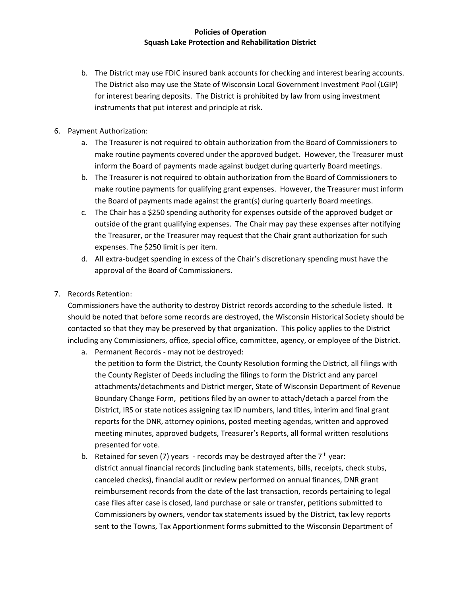### **Policies of Operation Squash Lake Protection and Rehabilitation District**

- b. The District may use FDIC insured bank accounts for checking and interest bearing accounts. The District also may use the State of Wisconsin Local Government Investment Pool (LGIP) for interest bearing deposits. The District is prohibited by law from using investment instruments that put interest and principle at risk.
- 6. Payment Authorization:
	- a. The Treasurer is not required to obtain authorization from the Board of Commissioners to make routine payments covered under the approved budget. However, the Treasurer must inform the Board of payments made against budget during quarterly Board meetings.
	- b. The Treasurer is not required to obtain authorization from the Board of Commissioners to make routine payments for qualifying grant expenses. However, the Treasurer must inform the Board of payments made against the grant(s) during quarterly Board meetings.
	- c. The Chair has a \$250 spending authority for expenses outside of the approved budget or outside of the grant qualifying expenses. The Chair may pay these expenses after notifying the Treasurer, or the Treasurer may request that the Chair grant authorization for such expenses. The \$250 limit is per item.
	- d. All extra-budget spending in excess of the Chair's discretionary spending must have the approval of the Board of Commissioners.
- 7. Records Retention:

Commissioners have the authority to destroy District records according to the schedule listed. It should be noted that before some records are destroyed, the Wisconsin Historical Society should be contacted so that they may be preserved by that organization. This policy applies to the District including any Commissioners, office, special office, committee, agency, or employee of the District.

- a. Permanent Records may not be destroyed: the petition to form the District, the County Resolution forming the District, all filings with the County Register of Deeds including the filings to form the District and any parcel attachments/detachments and District merger, State of Wisconsin Department of Revenue Boundary Change Form, petitions filed by an owner to attach/detach a parcel from the District, IRS or state notices assigning tax ID numbers, land titles, interim and final grant reports for the DNR, attorney opinions, posted meeting agendas, written and approved meeting minutes, approved budgets, Treasurer's Reports, all formal written resolutions presented for vote.
- b. Retained for seven (7) years records may be destroyed after the  $7<sup>th</sup>$  year: district annual financial records (including bank statements, bills, receipts, check stubs, canceled checks), financial audit or review performed on annual finances, DNR grant reimbursement records from the date of the last transaction, records pertaining to legal case files after case is closed, land purchase or sale or transfer, petitions submitted to Commissioners by owners, vendor tax statements issued by the District, tax levy reports sent to the Towns, Tax Apportionment forms submitted to the Wisconsin Department of